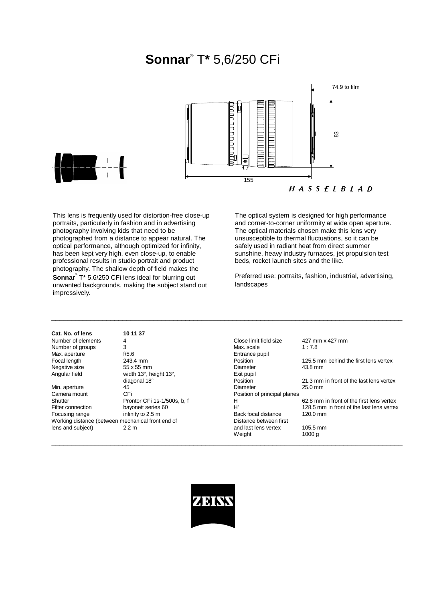# **Sonnar**® T**\*** 5,6/250 CFi





This lens is frequently used for distortion-free close-up portraits, particularly in fashion and in advertising photography involving kids that need to be photographed from a distance to appear natural. The optical performance, although optimized for infinity, has been kept very high, even close-up, to enable professional results in studio portrait and product photography. The shallow depth of field makes the **Sonnar**® T\* 5,6/250 CFi lens ideal for blurring out unwanted backgrounds, making the subject stand out impressively.

The optical system is designed for high performance and corner-to-corner uniformity at wide open aperture. The optical materials chosen make this lens very unsusceptible to thermal fluctuations, so it can be safely used in radiant heat from direct summer sunshine, heavy industry furnaces, jet propulsion test beds, rocket launch sites and the like.

Preferred use: portraits, fashion, industrial, advertising, landscapes

| Cat. No. of lens   | 10 11 37                    |                              |                   |
|--------------------|-----------------------------|------------------------------|-------------------|
| Number of elements | 4                           | Close limit field size       | 427 m             |
| Number of groups   | 3                           | Max. scale                   | 1:7.8             |
| Max. aperture      | f/5.6                       | Entrance pupil               |                   |
| Focal length       | 243.4 mm                    | Position                     | 125.5             |
| Negative size      | 55 x 55 mm                  | Diameter                     | 43.8 m            |
| Angular field      | width 13°, height 13°,      | Exit pupil                   |                   |
|                    | diagonal 18°                | Position                     | 21.3 <sub>m</sub> |
| Min. aperture      | 45                          | Diameter                     | $25.0 \text{ m}$  |
| Camera mount       | <b>CFi</b>                  | Position of principal planes |                   |
| Shutter            | Prontor CFi 1s-1/500s, b, f | н                            | $62.8 \text{ m}$  |
| Filter connection  | bayonett series 60          | H'                           | 128.5             |
| Focusing range     | infinity to 2.5 m           | Back focal distance          | 120.0             |
|                    |                             | .                            |                   |

Working distance (between mechanical front end of

Number of elements 4 Close limit field size 427 mm x 427 mm<br>Number of groups 3 3 3 Max scale 1 : 7 8 n and the Form Position 125.5 mm behind the first lens vertex<br>mm 125.5 mm 43.8 mm Negative size 65 mm block by the SS x 55 mm block by the SS bandware control blameter and the 43.8 mm Position 21.3 mm in front of the last lens vertex<br>Diameter 25.0 mm Min. aperture 45 Diameter 25.0 mm Shutter Prontor CFi 1s-1/500s, b, f B and H 62.8 mm in front of the first lens vertex<br>Filter connection bayonett series 60 H H 128.5 mm in front of the last lens vertex Figure connection bayonetic series 60 H' 128.5 mm in front of the last lens vertex Focusing range infinity to 2.5 m<br>
Working distance (between mechanical front end of Bistance between first Distance between first lens and subject) 2.2 m 2.2 m and last lens vertex 105.5 mm Weight 1000 g  $\_$  ,  $\_$  ,  $\_$  ,  $\_$  ,  $\_$  ,  $\_$  ,  $\_$  ,  $\_$  ,  $\_$  ,  $\_$  ,  $\_$  ,  $\_$  ,  $\_$  ,  $\_$  ,  $\_$  ,  $\_$  ,  $\_$  ,  $\_$  ,  $\_$  ,  $\_$  ,  $\_$  ,  $\_$  ,  $\_$  ,  $\_$  ,  $\_$  ,  $\_$  ,  $\_$  ,  $\_$  ,  $\_$  ,  $\_$  ,  $\_$  ,  $\_$  ,  $\_$  ,  $\_$  ,  $\_$  ,  $\_$  ,  $\_$  ,



\_\_\_\_\_\_\_\_\_\_\_\_\_\_\_\_\_\_\_\_\_\_\_\_\_\_\_\_\_\_\_\_\_\_\_\_\_\_\_\_\_\_\_\_\_\_\_\_\_\_\_\_\_\_\_\_\_\_\_\_\_\_\_\_\_\_\_\_\_\_\_\_\_\_\_\_\_\_\_\_\_\_\_\_\_\_\_\_\_